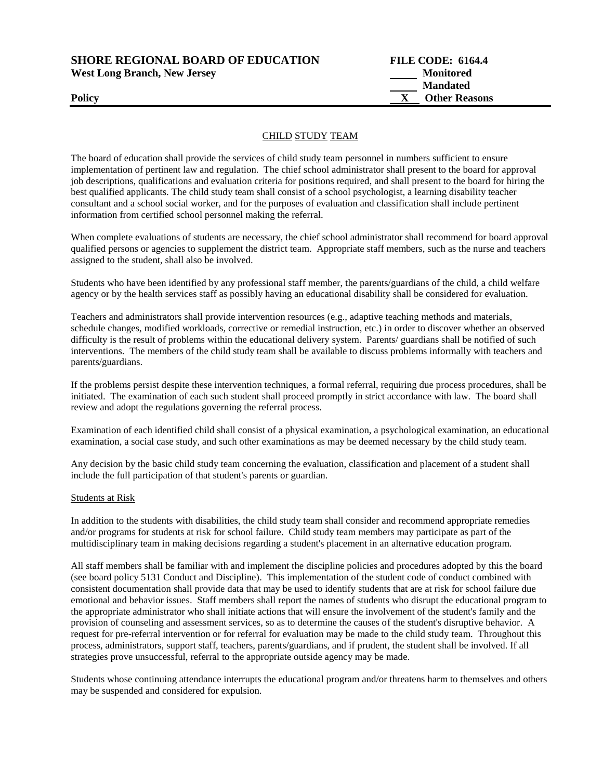**SHORE REGIONAL BOARD OF EDUCATION FILE CODE: 6164.4 West Long Branch, New Jersey Monitored**

 **Mandated Policy X** Other Reasons

## CHILD STUDY TEAM

The board of education shall provide the services of child study team personnel in numbers sufficient to ensure implementation of pertinent law and regulation. The chief school administrator shall present to the board for approval job descriptions, qualifications and evaluation criteria for positions required, and shall present to the board for hiring the best qualified applicants. The child study team shall consist of a school psychologist, a learning disability teacher consultant and a school social worker, and for the purposes of evaluation and classification shall include pertinent information from certified school personnel making the referral.

When complete evaluations of students are necessary, the chief school administrator shall recommend for board approval qualified persons or agencies to supplement the district team. Appropriate staff members, such as the nurse and teachers assigned to the student, shall also be involved.

Students who have been identified by any professional staff member, the parents/guardians of the child, a child welfare agency or by the health services staff as possibly having an educational disability shall be considered for evaluation.

Teachers and administrators shall provide intervention resources (e.g., adaptive teaching methods and materials, schedule changes, modified workloads, corrective or remedial instruction, etc.) in order to discover whether an observed difficulty is the result of problems within the educational delivery system. Parents/ guardians shall be notified of such interventions. The members of the child study team shall be available to discuss problems informally with teachers and parents/guardians.

If the problems persist despite these intervention techniques, a formal referral, requiring due process procedures, shall be initiated. The examination of each such student shall proceed promptly in strict accordance with law. The board shall review and adopt the regulations governing the referral process.

Examination of each identified child shall consist of a physical examination, a psychological examination, an educational examination, a social case study, and such other examinations as may be deemed necessary by the child study team.

Any decision by the basic child study team concerning the evaluation, classification and placement of a student shall include the full participation of that student's parents or guardian.

## Students at Risk

In addition to the students with disabilities, the child study team shall consider and recommend appropriate remedies and/or programs for students at risk for school failure. Child study team members may participate as part of the multidisciplinary team in making decisions regarding a student's placement in an alternative education program.

All staff members shall be familiar with and implement the discipline policies and procedures adopted by this the board (see board policy 5131 Conduct and Discipline). This implementation of the student code of conduct combined with consistent documentation shall provide data that may be used to identify students that are at risk for school failure due emotional and behavior issues. Staff members shall report the names of students who disrupt the educational program to the appropriate administrator who shall initiate actions that will ensure the involvement of the student's family and the provision of counseling and assessment services, so as to determine the causes of the student's disruptive behavior. A request for pre-referral intervention or for referral for evaluation may be made to the child study team. Throughout this process, administrators, support staff, teachers, parents/guardians, and if prudent, the student shall be involved. If all strategies prove unsuccessful, referral to the appropriate outside agency may be made.

Students whose continuing attendance interrupts the educational program and/or threatens harm to themselves and others may be suspended and considered for expulsion.